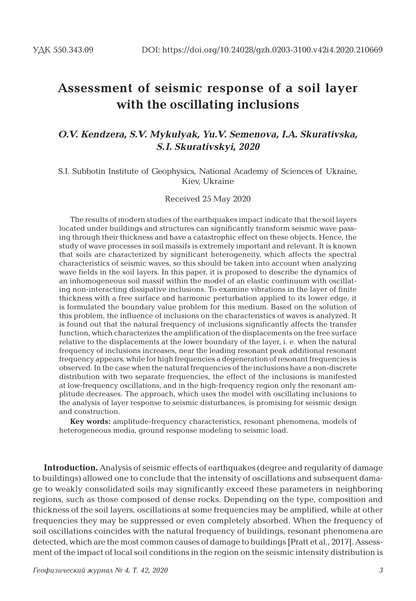# **Assessment of seismic response of a soil layer with the oscillating inclusions**

#### *O.V. Kendzera, S.V. Mykulyak, Yu.V. Semenova, I.A. Skurativska, S.I. Skurativskyi, 2020*

S.I. Subbotin Institute of Geophysics, National Academy of Sciences of Ukraine, Kiev, Ukraine

Received 25 May 2020

The results of modern studies of the earthquakes impact indicate that the soil layers located under buildings and structures can significantly transform seismic wave passing through their thickness and have a catastrophic effect on these objects. Hence, the study of wave processes in soil massifs is extremely important and relevant. It is known that soils are characterized by significant heterogeneity, which affects the spectral characteristics of seismic waves, so this should be taken into account when analyzing wave fields in the soil layers. In this paper, it is proposed to describe the dynamics of an inhomogeneous soil massif within the model of an elastic continuum with oscillating non-interacting dissipative inclusions. To examine vibrations in the layer of finite thickness with a free surface and harmonic perturbation applied to its lower edge, it is formulated the boundary value problem for this medium. Based on the solution of this problem, the influence of inclusions on the characteristics of waves is analyzed. It is found out that the natural frequency of inclusions significantly affects the transfer function, which characterizes the amplification of the displacements on the free surface relative to the displacements at the lower boundary of the layer, i. e. when the natural frequency of inclusions increases, near the leading resonant peak additional resonant frequency appears, while for high frequencies a degeneration of resonant frequencies is observed. In the case when the natural frequencies of the inclusions have a non-discrete distribution with two separate frequencies, the effect of the inclusions is manifested at low-frequency oscillations, and in the high-frequency region only the resonant amplitude decreases. The approach, which uses the model with oscillating inclusions to the analysis of layer response to seismic disturbances, is promising for seismic design and construction.

**Key words:** amplitude-frequency characteristics, resonant phenomena, models of heterogeneous media, ground response modeling to seismic load.

**Introduction.** Analysis of seismic effects of earthquakes (degree and regularity of damage to buildings) allowed one to conclude that the intensity of oscillations and subsequent damage to weakly consolidated soils may significantly exceed these parameters in neighboring regions, such as those composed of dense rocks. Depending on the type, composition and thickness of the soil layers, oscillations at some frequencies may be amplified, while at other frequencies they may be suppressed or even completely absorbed. When the frequency of soil oscillations coincides with the natural frequency of buildings, resonant phenomena are detected, which are the most common causes of damage to buildings [Pratt et al., 2017]. Assessment of the impact of local soil conditions in the region on the seismic intensity distribution is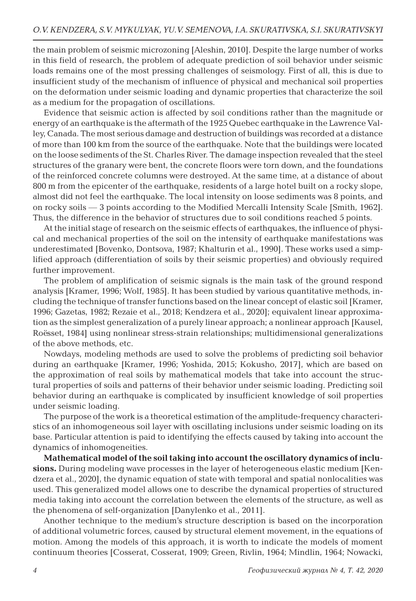the main problem of seismic microzoning [Aleshin, 2010]. Despite the large number of works in this field of research, the problem of adequate prediction of soil behavior under seismic loads remains one of the most pressing challenges of seismology. First of all, this is due to insufficient study of the mechanism of influence of physical and mechanical soil properties on the deformation under seismic loading and dynamic properties that characterize the soil as a medium for the propagation of oscillations.

Evidence that seismic action is affected by soil conditions rather than the magnitude or energy of an earthquake is the aftermath of the 1925 Quebec earthquake in the Lawrence Valley, Canada. The most serious damage and destruction of buildings was recorded at a distance of more than 100 km from the source of the earthquake. Note that the buildings were located on the loose sediments of the St. Charles River. The damage inspection revealed that the steel structures of the granary were bent, the concrete floors were torn down, and the foundations of the reinforced concrete columns were destroyed. At the same time, at a distance of about 800 m from the epicenter of the earthquake, residents of a large hotel built on a rocky slope, almost did not feel the earthquake. The local intensity on loose sediments was 8 points, and on rocky soils ― 3 points according to the Modified Mercalli Intensity Scale [Smith, 1962]. Thus, the difference in the behavior of structures due to soil conditions reached 5 points.

At the initial stage of research on the seismic effects of earthquakes, the influence of physical and mechanical properties of the soil on the intensity of earthquake manifestations was underestimated [Bovenko, Dontsova, 1987; Khalturin et al., 1990]. These works used a simplified approach (differentiation of soils by their seismic properties) and obviously required further improvement.

The problem of amplification of seismic signals is the main task of the ground respond analysis [Kramer, 1996; Wolf, 1985]. It has been studied by various quantitative methods, including the technique of transfer functions based on the linear concept of elastic soil [Kramer, 1996; Gazetas, 1982; Rezaie et al., 2018; Kendzera et al., 2020]; equivalent linear approximation as the simplest generalization of a purely linear approach; a nonlinear approach [Kausel, Roёsset, 1984] using nonlinear stress-strain relationships; multidimensional generalizations of the above methods, etc.

Nowdays, modeling methods are used to solve the problems of predicting soil behavior during an earthquake [Kramer, 1996; Yoshida, 2015; Kokusho, 2017], which are based on the approximation of real soils by mathematical models that take into account the structural properties of soils and patterns of their behavior under seismic loading. Predicting soil behavior during an earthquake is complicated by insufficient knowledge of soil properties under seismic loading.

The purpose of the work is a theoretical estimation of the amplitude-frequency characteristics of an inhomogeneous soil layer with oscillating inclusions under seismic loading on its base. Particular attention is paid to identifying the effects caused by taking into account the dynamics of inhomogeneities.

**Mathematical model of the soil taking into account the oscillatory dynamics of inclusions.** During modeling wave processes in the layer of heterogeneous elastic medium [Kendzera et al., 2020], the dynamic equation of state with temporal and spatial nonlocalities was used. This generalized model allows one to describe the dynamical properties of structured media taking into account the correlation between the elements of the structure, as well as the phenomena of self-organization [Danylenko et al., 2011].

Another technique to the medium's structure description is based on the incorporation of additional volumetric forces, caused by structural element movement, in the equations of motion. Among the models of this approach, it is worth to indicate the models of moment continuum theories [Cosserat, Cosserat, 1909; Green, Rivlin, 1964; Mindlin, 1964; Nowacki,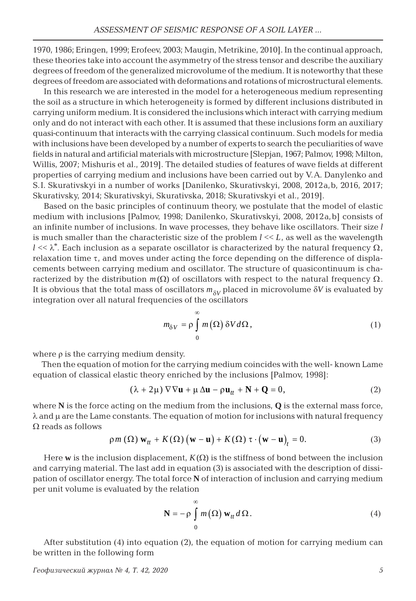1970, 1986; Eringen, 1999; Erofeev, 2003; Maugin, Metrikine, 2010]. In the continual approach, these theories take into account the asymmetry of the stress tensor and describe the auxiliary degrees of freedom of the generalized microvolume of the medium. It is noteworthy that these degrees of freedom are associated with deformations and rotations of microstructural elements.

In this research we are interested in the model for a heterogeneous medium representing the soil as a structure in which heterogeneity is formed by different inclusions distributed in carrying uniform medium. It is considered the inclusions which interact with carrying medium only and do not interact with each other. It is assumed that these inclusions form an auxiliary quasi-continuum that interacts with the carrying classical continuum. Such models for media with inclusions have been developed by a number of experts to search the peculiarities of wave fields in natural and artificial materials with microstructure [Slepjan, 1967; Palmov, 1998; Milton, Willis, 2007; Mishuris et al., 2019]. The detailed studies of features of wave fields at different properties of carrying medium and inclusions have been carried out by V.A. Danylenko and S.I. Skurativskyi in a number of works [Danilenko, Skurativskyi, 2008, 2012a, b, 2016, 2017; Skurativsky, 2014; Skurativskyi, Skurativska, 2018; Skurativskyi et al., 2019].

Based on the basic principles of continuum theory, we postulate that the model of elastic medium with inclusions [Palmov, 1998; Danilenko, Skurativskyi, 2008, 2012a, b] consists of an infinite number of inclusions. In wave processes, they behave like oscillators. Their size *l* is much smaller than the characteristic size of the problem  $l \ll L$ , as well as the wavelength  $l \ll \lambda^*$ . Each inclusion as a separate oscillator is characterized by the natural frequency  $\Omega$ , relaxation time  $\tau$ , and moves under acting the force depending on the difference of displacements between carrying medium and oscillator. The structure of quasicontinuum is characterized by the distribution  $m(\Omega)$  of oscillators with respect to the natural frequency  $\Omega$ . It is obvious that the total mass of oscillators  $m_{\text{av}}$  placed in microvolume  $\delta V$  is evaluated by integration over all natural frequencies of the oscillators

$$
m_{\delta V} = \rho \int_{0}^{\infty} m(\Omega) \, \delta V d\Omega, \qquad (1)
$$

where  $\rho$  is the carrying medium density.

Then the equation of motion for the carrying medium coincides with the well- known Lame equation of classical elastic theory enriched by the inclusions [Palmov, 1998]:

$$
(\lambda + 2\mu) \nabla \nabla \mathbf{u} + \mu \Delta \mathbf{u} - \rho \mathbf{u}_{tt} + \mathbf{N} + \mathbf{Q} = 0, \qquad (2)
$$

where **N** is the force acting on the medium from the inclusions, **Q** is the external mass force,  $\lambda$  and  $\mu$  are the Lame constants. The equation of motion for inclusions with natural frequency  $\Omega$  reads as follows

$$
\rho m\left(\Omega\right) \mathbf{w}_{tt} + K\left(\Omega\right) \left(\mathbf{w} - \mathbf{u}\right) + K\left(\Omega\right) \tau \cdot \left(\mathbf{w} - \mathbf{u}\right)_t = 0. \tag{3}
$$

Here **w** is the inclusion displacement,  $K(\Omega)$  is the stiffness of bond between the inclusion and carrying material. The last add in equation (3) is associated with the description of dissipation of oscillator energy. The total force **N** of interaction of inclusion and carrying medium per unit volume is evaluated by the relation

$$
\mathbf{N} = -\rho \int_{0}^{\infty} m(\Omega) \mathbf{w}_{tt} d\Omega.
$$
 (4)

After substitution (4) into equation (2), the equation of motion for carrying medium can be written in the following form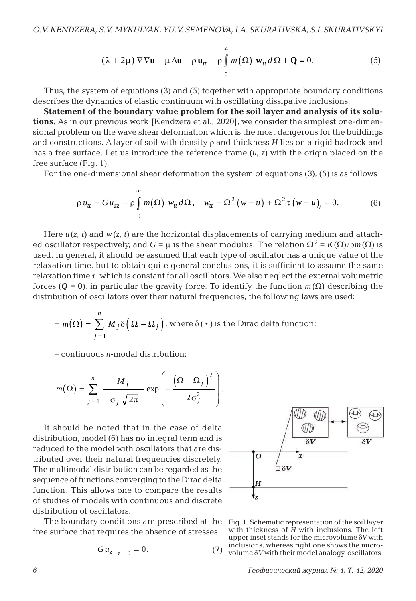$$
(\lambda + 2\mu) \nabla \nabla \mathbf{u} + \mu \Delta \mathbf{u} - \rho \mathbf{u}_{tt} - \rho \int_{0}^{\infty} m(\Omega) \mathbf{w}_{tt} d\Omega + \mathbf{Q} = 0.
$$
 (5)

Thus, the system of equations (3) and (5) together with appropriate boundary conditions describes the dynamics of elastic continuum with oscillating dissipative inclusions.

**Statement of the boundary value problem for the soil layer and analysis of its solutions.** As in our previous work [Kendzera et al., 2020], we consider the simplest one-dimensional problem on the wave shear deformation which is the most dangerous for the buildings and constructions. A layer of soil with density  $\rho$  and thickness *H* lies on a rigid badrock and has a free surface. Let us introduce the reference frame (*u*, *z*) with the origin placed on the free surface (Fig. 1).

For the one-dimensional shear deformation the system of equations  $(3)$ ,  $(5)$  is as follows

$$
\rho u_{tt} = Gu_{zz} - \rho \int_0^{\infty} m(\Omega) w_{tt} d\Omega, \quad w_{tt} + \Omega^2 (w - u) + \Omega^2 \tau (w - u)_t = 0. \tag{6}
$$

Here  $u(z, t)$  and  $w(z, t)$  are the horizontal displacements of carrying medium and attached oscillator respectively, and  $G = \mu$  is the shear modulus. The relation  $\Omega^2 = K(\Omega)/\rho m(\Omega)$  is used. In general, it should be assumed that each type of oscillator has a unique value of the relaxation time, but to obtain quite general conclusions, it is sufficient to assume the same relaxation time  $\tau$ , which is constant for all oscillators. We also neglect the external volumetric forces ( $Q = 0$ ), in particular the gravity force. To identify the function  $m(\Omega)$  describing the distribution of oscillators over their natural frequencies, the following laws are used:

$$
- m(\Omega) = \sum_{j=1}^{n} M_j \delta\Big(\Omega - \Omega_j\Big), \text{ where } \delta(\cdot) \text{ is the Dirac delta function;}
$$

– continuous *n*-modal distribution:

$$
m(\Omega) = \sum_{j=1}^{n} \frac{M_j}{\sigma_j \sqrt{2\pi}} \exp \left(-\frac{(\Omega - \Omega_j)^2}{2\sigma_j^2}\right).
$$

It should be noted that in the case of delta distribution, model (6) has no integral term and is reduced to the model with oscillators that are distributed over their natural frequencies discretely. The multimodal distribution can be regarded as the sequence of functions converging to the Dirac delta function. This allows one to compare the results of studies of models with continuous and discrete distribution of oscillators.

The boundary conditions are prescribed at the Fig. 1. Schematic representation of the soil layer free surface that requires the absence of stresses

$$
G u_z \Big|_{z=0} = 0. \tag{7}
$$



with thickness of *H* with inclusions. The left upper inset stands for the microvolume  $\delta V$  with inclusions, whereas right one shows the micro- $\sigma$ <sup>1</sup> wolume  $\delta V$  with their model analogy-oscillators.

*6 Геофизический журнал № 4, Т. 42, 2020*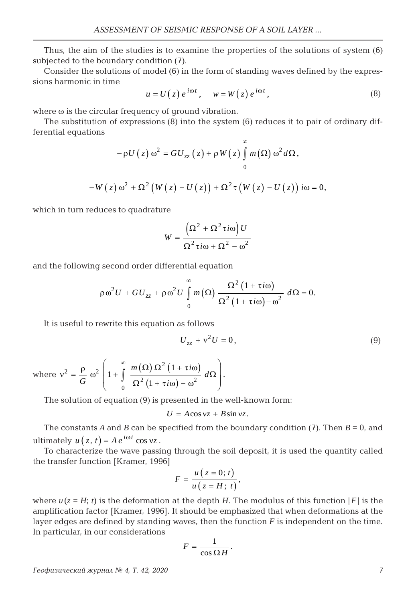Thus, the aim of the studies is to examine the properties of the solutions of system (6) subjected to the boundary condition (7).

Consider the solutions of model (6) in the form of standing waves defined by the expressions harmonic in time

$$
u = U(z) e^{i\omega t}, \quad w = W(z) e^{i\omega t}, \tag{8}
$$

∞

where  $\omega$  is the circular frequency of ground vibration.

The substitution of expressions (8) into the system (6) reduces it to pair of ordinary differential equations

$$
-\rho U(z) \omega^{2} = GU_{zz}(z) + \rho W(z) \int_{0}^{\infty} m(\Omega) \omega^{2} d\Omega,
$$
  

$$
W(z) \omega^{2} + \Omega^{2} (W(z) - U(z)) + \Omega^{2} \tau (W(z) - U(z)) i\omega = 0,
$$

which in turn reduces to quadrature

$$
W = \frac{\left(\Omega^2 + \Omega^2 \tau i\omega\right)U}{\Omega^2 \tau i\omega + \Omega^2 - \omega^2}
$$

and the following second order differential equation

$$
\rho \omega^2 U + GU_{zz} + \rho \omega^2 U \int_0^{\infty} m(\Omega) \frac{\Omega^2 (1 + \tau i \omega)}{\Omega^2 (1 + \tau i \omega) - \omega^2} d\Omega = 0.
$$

It is useful to rewrite this equation as follows

$$
U_{zz} + v^2 U = 0,\t\t(9)
$$

where 
$$
v^2 = \frac{\rho}{G} \omega^2 \left( 1 + \int_0^{\infty} \frac{m(\Omega) \Omega^2 (1 + \tau i \omega)}{\Omega^2 (1 + \tau i \omega) - \omega^2} d\Omega \right)
$$
.

The solution of equation (9) is presented in the well-known form:

$$
U = A\cos v z + B\sin v z.
$$

The constants *A* and *B* can be specified from the boundary condition (7). Then  $B = 0$ , and ultimately  $u(z, t) = Ae^{i\omega t} \cos v z$ .

To characterize the wave passing through the soil deposit, it is used the quantity called the transfer function [Kramer, 1996]

$$
F=\frac{u(z=0;t)}{u(z=H;t)},
$$

where  $u(z = H; t)$  is the deformation at the depth *H*. The modulus of this function  $|F|$  is the amplification factor [Kramer, 1996]. It should be emphasized that when deformations at the layer edges are defined by standing waves, then the function *F* is independent on the time. In particular, in our considerations

$$
F=\frac{1}{\cos\Omega H}.
$$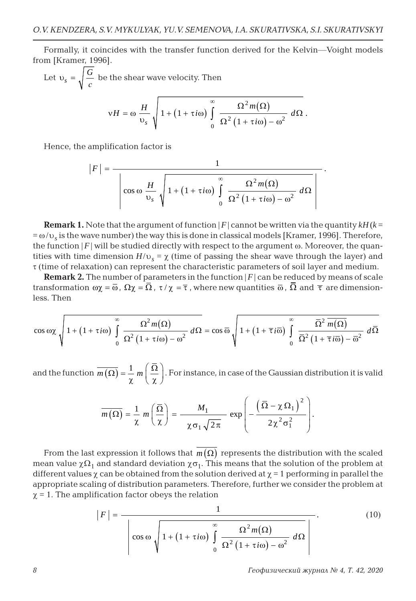Formally, it coincides with the transfer function derived for the Kelvin―Voight models from [Kramer, 1996].

Let 
$$
v_s = \sqrt{\frac{G}{c}}
$$
 be the shear wave velocity. Then  
\n
$$
vH = \omega \frac{H}{v_s} \sqrt{1 + (1 + \tau i\omega) \int_0^{\infty} \frac{\Omega^2 m(\Omega)}{\Omega^2 (1 + \tau i\omega) - \omega^2} d\Omega}.
$$

Hence, the amplification factor is

$$
|F| = \frac{1}{\left|\cos\omega \frac{H}{\nu_s}\sqrt{1 + (1 + \tau i\omega) \int_0^\infty \frac{\Omega^2 m(\Omega)}{\Omega^2 (1 + \tau i\omega) - \omega^2} d\Omega}\right|}.
$$

**Remark 1.** Note that the argument of function  $|F|$  cannot be written via the quantity  $kH(k=$  $=\omega/v_s$  is the wave number) the way this is done in classical models [Kramer, 1996]. Therefore, the function  $|F|$  will be studied directly with respect to the argument  $\omega$ . Moreover, the quantities with time dimension  $H/v_s = \chi$  (time of passing the shear wave through the layer) and  $\tau$  (time of relaxation) can represent the characteristic parameters of soil layer and medium.

**Remark 2.** The number of parameters in the function  $|F|$  can be reduced by means of scale transformation  $\omega\chi = \overline{\omega}$ ,  $\Omega\chi = \overline{\Omega}$ ,  $\tau/\chi = \overline{\tau}$ , where new quantities  $\overline{\omega}$ ,  $\overline{\Omega}$  and  $\overline{\tau}$  are dimensionless. Then

$$
\cos \omega \chi \sqrt{1 + (1 + \tau i \omega) \int_{0}^{\infty} \frac{\Omega^2 m(\Omega)}{\Omega^2 (1 + \tau i \omega) - \omega^2} d\Omega} = \cos \overline{\omega} \sqrt{1 + (1 + \overline{\tau} i \overline{\omega}) \int_{0}^{\infty} \frac{\overline{\Omega}^2 m(\Omega)}{\overline{\Omega}^2 (1 + \overline{\tau} i \overline{\omega}) - \overline{\omega}^2} d\overline{\Omega}}
$$

and the function  $\overline{m(\Omega)} = \frac{1}{\chi} m\left(\frac{\overline{\Omega}}{\chi}\right)$ . For instance, in case of the Gaussian distribution it is valid

$$
\overline{m\left(\Omega\right)} = \frac{1}{\chi} m \left(\frac{\overline{\Omega}}{\chi}\right) = \frac{M_1}{\chi \sigma_1 \sqrt{2\pi}} \exp \left(-\frac{\left(\overline{\Omega} - \chi \Omega_1\right)^2}{2\chi^2 \sigma_1^2}\right).
$$

From the last expression it follows that  $\overline{m(\Omega)}$  represents the distribution with the scaled mean value  $\chi\Omega_1$  and standard deviation  $\chi\sigma_1$ . This means that the solution of the problem at different values  $\chi$  can be obtained from the solution derived at  $\chi = 1$  performing in parallel the appropriate scaling of distribution parameters. Therefore, further we consider the problem at  $\chi$  = 1. The amplification factor obeys the relation

$$
|F| = \frac{1}{\left|\cos\omega\sqrt{1 + (1 + \tau i\omega)\int_{0}^{\infty}\frac{\Omega^{2}m(\Omega)}{\Omega^{2}(1 + \tau i\omega) - \omega^{2}}d\Omega}\right|}.
$$
(10)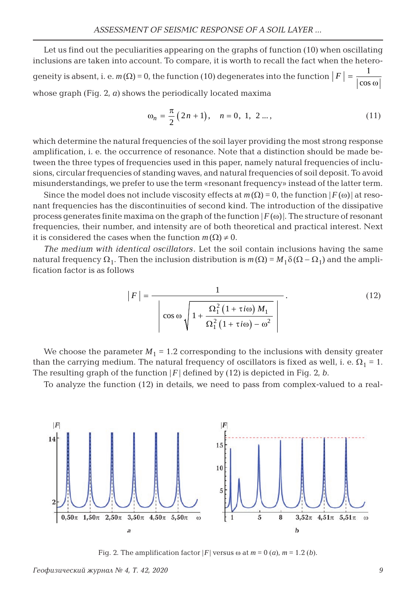Let us find out the peculiarities appearing on the graphs of function (10) when oscillating inclusions are taken into account. To compare, it is worth to recall the fact when the heterogeneity is absent, i. e.  $m(\Omega) = 0$ , the function (10) degenerates into the function  $F = \frac{1}{\cos \omega}$ whose graph (Fig. 2, *а*) shows the periodically located maxima

$$
\omega_n = \frac{\pi}{2} (2n + 1), \quad n = 0, 1, 2 \dots,
$$
 (11)

which determine the natural frequencies of the soil layer providing the most strong response amplification, i. e. the occurrence of resonance. Note that a distinction should be made between the three types of frequencies used in this paper, namely natural frequencies of inclusions, circular frequencies of standing waves, and natural frequencies of soil deposit. To avoid misunderstandings, we prefer to use the term «resonant frequency» instead of the latter term.

Since the model does not include viscosity effects at  $m(\Omega) = 0$ , the function  $|F(\omega)|$  at resonant frequencies has the discontinuities of second kind. The introduction of the dissipative process generates finite maxima on the graph of the function  $|F(\omega)|$ . The structure of resonant frequencies, their number, and intensity are of both theoretical and practical interest. Next it is considered the cases when the function  $m(\Omega) \neq 0$ .

*The medium with identical oscillators.* Let the soil contain inclusions having the same natural frequency  $\Omega_1$ . Then the inclusion distribution is  $m(\Omega) = M_1 \delta(\Omega - \Omega_1)$  and the amplification factor is as follows

$$
|F| = \frac{1}{\left|\cos\omega\sqrt{1 + \frac{\Omega_1^2 (1 + \tau i\omega) M_1}{\Omega_1^2 (1 + \tau i\omega) - \omega^2}}\right|}.
$$
(12)

We choose the parameter  $M_1 = 1.2$  corresponding to the inclusions with density greater than the carrying medium. The natural frequency of oscillators is fixed as well, i. e.  $\Omega_1 = 1$ . The resulting graph of the function  $|F|$  defined by (12) is depicted in Fig. 2, *b*.

To analyze the function (12) in details, we need to pass from complex-valued to a real-



Fig. 2. The amplification factor  $|F|$  versus  $\omega$  at  $m = 0$  (*a*),  $m = 1.2$  (*b*).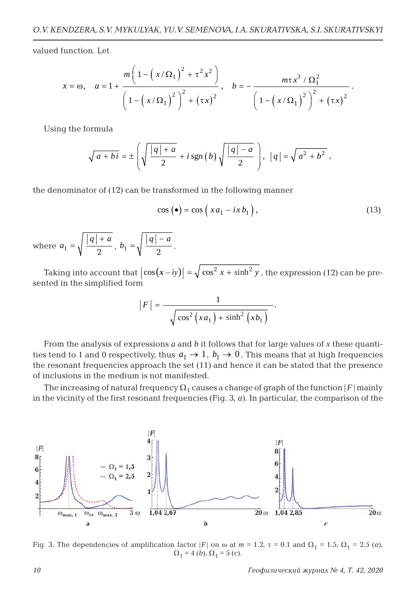valued function. Let

$$
x = \omega, \quad a = 1 + \frac{m\left(1 - \left(x/\Omega_1\right)^2 + \tau^2 x^2\right)}{\left(1 - \left(x/\Omega_1\right)^2\right)^2 + \left(\tau x\right)^2}, \quad b = -\frac{m\tau x^3/\Omega_1^2}{\left(1 - \left(x/\Omega_1\right)^2\right)^2 + \left(\tau x\right)^2}.
$$

Using the formula

$$
\sqrt{a+bi} = \pm \left( \sqrt{\frac{|q|+a}{2}} + i \operatorname{sgn}(b) \sqrt{\frac{|q|-a}{2}} \right), \ |q| = \sqrt{a^2 + b^2} ,
$$

the denominator of (12) can be transformed in the following manner

$$
\cos\left(\bullet\right) = \cos\left(x a_1 - i x b_1\right),\tag{13}
$$

where  $a_1 = \sqrt{\frac{|q|+a}{a}}$  $b_1 = \sqrt{\frac{|q| + a}{2}}$ ,  $b_1 = \sqrt{\frac{|q| - a}{2}}$ .

Taking into account that  $\big|cos(x-iy)\big| = \sqrt{cos^2 x + sinh^2 y}$  , the expression (12) can be presented in the simplified form

$$
|F| = \frac{1}{\sqrt{\cos^2(xa_1) + \sinh^2(xb_1)}}.
$$

From the analysis of expressions *a* and *b* it follows that for large values of *x* these quantities tend to 1 and 0 respectively, thus  $a_1 \rightarrow 1$ ,  $b_1 \rightarrow 0$ . This means that at high frequencies the resonant frequencies approach the set (11) and hence it can be stated that the presence of inclusions in the medium is not manifested.

The increasing of natural frequency  $\Omega_1$  causes a change of graph of the function  $|F|$  mainly in the vicinity of the first resonant frequencies  $(Fiq, 3, a)$ . In particular, the comparison of the



Fig. 3. The dependencies of amplification factor |*F*| on  $\omega$  at  $m = 1.2$ ,  $\tau = 0.1$  and  $\Omega_1 = 1.5$ ,  $\Omega_1 = 2.5$  (*a*),  $\Omega_1 = 4$  (*b*),  $\Omega_1 = 5$  (*c*).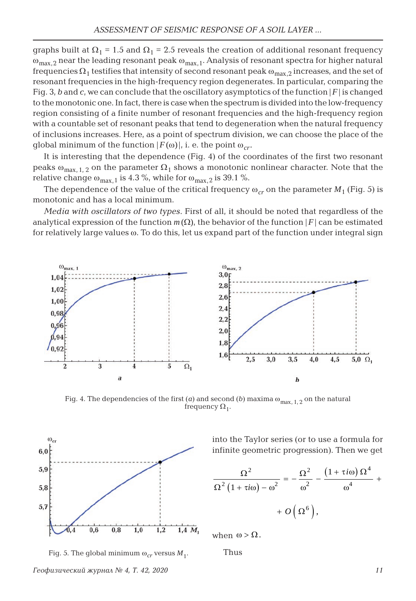graphs built at  $\Omega_1 = 1.5$  and  $\Omega_1 = 2.5$  reveals the creation of additional resonant frequency  $\omega_{\text{max.2}}$  near the leading resonant peak  $\omega_{\text{max.1}}$ . Analysis of resonant spectra for higher natural frequencies  $\Omega_1$  testifies that intensity of second resonant peak  $\omega_{\text{max}}$ , 2 increases, and the set of resonant frequencies in the high-frequency region degenerates. In particular, comparing the Fig. 3, *b* and *c*, we can conclude that the oscillatory asymptotics of the function  $|F|$  is changed to the monotonic one. In fact, there is case when the spectrum is divided into the low-frequency region consisting of a finite number of resonant frequencies and the high-frequency region with a countable set of resonant peaks that tend to degeneration when the natural frequency of inclusions increases. Here, as a point of spectrum division, we can choose the place of the global minimum of the function  $|F(\omega)|$ , i. e. the point  $\omega_{cr}$ .

It is interesting that the dependence (Fig. 4) of the coordinates of the first two resonant peaks  $\omega_{\text{max } 1, 2}$  on the parameter  $\Omega_1$  shows a monotonic nonlinear character. Note that the relative change  $\omega_{\text{max.1}}$  is 4.3 %, while for  $\omega_{\text{max.2}}$  is 39.1 %.

The dependence of the value of the critical frequency  $\omega_{cr}$  on the parameter  $M_1$  (Fig. 5) is monotonic and has a local minimum.

*Media with oscillators of two types*. First of all, it should be noted that regardless of the analytical expression of the function  $m(\Omega)$ , the behavior of the function  $|F|$  can be estimated for relatively large values  $\omega$ . To do this, let us expand part of the function under integral sign



Fig. 4. The dependencies of the first  $(a)$  and second  $(b)$  maxima  $\omega_{\text{max}, 1, 2}$  on the natural frequency  $\Omega_1$ .



into the Taylor series (or to use a formula for infinite geometric progression). Then we get

$$
\frac{\Omega^2}{\Omega^2 (1 + \tau i \omega) - \omega^2} = -\frac{\Omega^2}{\omega^2} - \frac{(1 + \tau i \omega) \Omega^4}{\omega^4} + \frac{\Omega^2}{\Omega^6},
$$



when  $\omega > \Omega$ .

Thus

*Геофизический журнал № 4, Т. 42, 2020 11*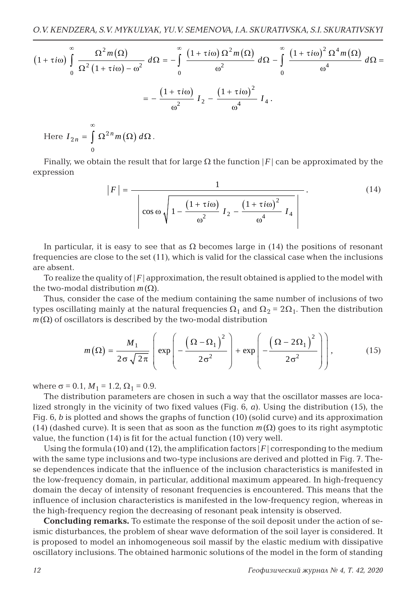$$
(1 + \tau i\omega) \int_{0}^{\infty} \frac{\Omega^{2} m(\Omega)}{\Omega^{2} (1 + \tau i\omega) - \omega^{2}} d\Omega = -\int_{0}^{\infty} \frac{(1 + \tau i\omega) \Omega^{2} m(\Omega)}{\omega^{2}} d\Omega - \int_{0}^{\infty} \frac{(1 + \tau i\omega)^{2} \Omega^{4} m(\Omega)}{\omega^{4}} d\Omega =
$$

$$
= -\frac{(1 + \tau i\omega)}{\omega^{2}} I_{2} - \frac{(1 + \tau i\omega)^{2}}{\omega^{4}} I_{4}.
$$

Here 
$$
I_{2n} = \int_{0}^{\infty} \Omega^{2n} m(\Omega) d\Omega
$$
.

Finally, we obtain the result that for large  $\Omega$  the function  $|F|$  can be approximated by the expression

$$
|F| = \frac{1}{\left|\cos\omega\sqrt{1 - \frac{\left(1 + \tau i\omega\right)}{\omega^2} I_2 - \frac{\left(1 + \tau i\omega\right)^2}{\omega^4} I_4}\right|}.
$$
(14)

In particular, it is easy to see that as  $\Omega$  becomes large in (14) the positions of resonant frequencies are close to the set (11), which is valid for the classical case when the inclusions are absent.

To realize the quality of  $|F|$  approximation, the result obtained is applied to the model with the two-modal distribution  $m(\Omega)$ .

Thus, consider the case of the medium containing the same number of inclusions of two types oscillating mainly at the natural frequencies  $\Omega_1$  and  $\Omega_2 = 2\Omega_1$ . Then the distribution  $m(\Omega)$  of oscillators is described by the two-modal distribution

$$
m(\Omega) = \frac{M_1}{2\sigma\sqrt{2\pi}} \left( \exp\left(-\frac{\left(\Omega - \Omega_1\right)^2}{2\sigma^2}\right) + \exp\left(-\frac{\left(\Omega - 2\Omega_1\right)^2}{2\sigma^2}\right) \right),\tag{15}
$$

where  $\sigma = 0.1$ ,  $M_1 = 1.2$ ,  $\Omega_1 = 0.9$ .

The distribution parameters are chosen in such a way that the oscillator masses are localized strongly in the vicinity of two fixed values (Fig. 6, *а*). Using the distribution (15), the Fig. 6, *b* is plotted and shows the graphs of function (10) (solid curve) and its approximation (14) (dashed curve). It is seen that as soon as the function  $m(\Omega)$  goes to its right asymptotic value, the function (14) is fit for the actual function (10) very well.

Using the formula (10) and (12), the amplification factors  $|F|$  corresponding to the medium with the same type inclusions and two-type inclusions are derived and plotted in Fig. 7. These dependences indicate that the influence of the inclusion characteristics is manifested in the low-frequency domain, in particular, additional maximum appeared. In high-frequency domain the decay of intensity of resonant frequencies is encountered. This means that the influence of inclusion characteristics is manifested in the low-frequency region, whereas in the high-frequency region the decreasing of resonant peak intensity is observed.

**Concluding remarks.** To estimate the response of the soil deposit under the action of seismic disturbances, the problem of shear wave deformation of the soil layer is considered. It is proposed to model an inhomogeneous soil massif by the elastic medium with dissipative oscillatory inclusions. The obtained harmonic solutions of the model in the form of standing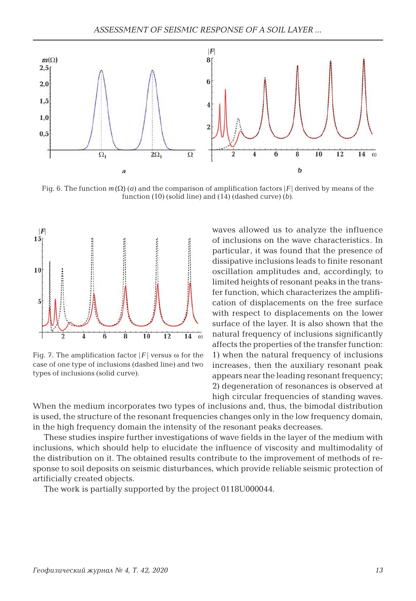

Fig. 6. The function  $m(\Omega)$  (*a*) and the comparison of amplification factors |*F*| derived by means of the function (10) (solid line) and (14) (dashed curve) (*b*).



Fig. 7. The amplification factor  $|F|$  versus  $\omega$  for the case of one type of inclusions (dashed line) and two types of inclusions (solid curve).

waves allowed us to analyze the influence of inclusions on the wave characteristics. In particular, it was found that the presence of dissipative inclusions leads to finite resonant oscillation amplitudes and, accordingly, to limited heights of resonant peaks in the transfer function, which characterizes the amplification of displacements on the free surface with respect to displacements on the lower surface of the layer. It is also shown that the natural frequency of inclusions significantly affects the properties of the transfer function: 1) when the natural frequency of inclusions increases, then the auxiliary resonant peak appears near the leading resonant frequency; 2) degeneration of resonances is observed at high circular frequencies of standing waves.

When the medium incorporates two types of inclusions and, thus, the bimodal distribution is used, the structure of the resonant frequencies changes only in the low frequency domain, in the high frequency domain the intensity of the resonant peaks decreases.

These studies inspire further investigations of wave fields in the layer of the medium with inclusions, which should help to elucidate the influence of viscosity and multimodality of the distribution on it. The obtained results contribute to the improvement of methods of response to soil deposits on seismic disturbances, which provide reliable seismic protection of artificially created objects.

The work is partially supported by the project 0118U000044.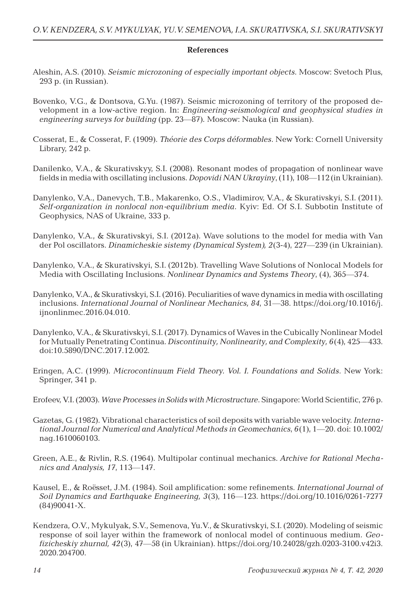#### **References**

- Aleshin, A.S. (2010). *Seismic microzoning of especially important objects*. Moscow: Svetoch Plus, 293 p. (in Russian).
- Bovenko, V.G., & Dontsova, G.Yu. (1987). Seismic microzoning of territory of the proposed development in a low-active region. In: *Engineering-seismological and geophysical studies in engineering surveys for building* (pp. 23—87)*.* Moscow: Nauka (in Russian).
- Cosserat, E., & Cosserat, F. (1909). *Théorie des Corps déformables*. New York: Cornell University Library, 242 p.
- Danilenko, V.A., & Skurativskyy, S.I. (2008). Resonant modes of propagation of nonlinear wave fields in media with oscillating inclusions. *Dopovidi NAN Ukrayiny*, (11), 108—112 (in Ukrainian).
- Danylenko, V.A., Danevych, T.B., Makarenko, O.S., Vladimirov, V.A., & Skurativskyi, S.I. (2011). *Self-organization in nonlocal non-equilibrium media*. Kyiv: Ed. Of S.I. Subbotin Institute of Geophysics, NAS of Ukraine, 333 p.
- Danylenko, V.A., & Skurativskyi, S.I. (2012a). Wave solutions to the model for media with Van der Pol oscillators. *Dinamicheskie sistemy (Dynamical System), 2*(3-4), 227—239 (in Ukrainian).
- Danylenko, V.A., & Skurativskyi, S.I. (2012b). Travelling Wave Solutions of Nonlocal Models for Media with Oscillating Inclusions. *Nonlinear Dynamics and Systems Theory*, (4), 365—374.
- Danylenko, V.A., & Skurativskyi, S.I. (2016). Peculiarities of wave dynamics in media with oscillating inclusions. *International Journal of Nonlinear Mechanics, 84*, 31—38. https://doi.org/10.1016/j. ijnonlinmec.2016.04.010.
- Danylenko, V.A., & Skurativskyi, S.I. (2017). Dynamics of Waves in the Cubically Nonlinear Model for Mutually Penetrating Continua. *Discontinuity, Nonlinearity, and Complexity, 6*(4), 425—433. doi:10.5890/DNC.2017.12.002.
- Eringen, A.C. (1999). *Microcontinuum Field Theory. Vol. I. Foundations and Solids*. New York: Springer, 341 p.
- Erofeev, V.I. (2003). *Wave Processes in Solids with Microstructure*. Singapore: World Scientific, 276 p.
- Gazetas, G. (1982). Vibrational characteristics of soil deposits with variable wave velocity. *International Journal for Numerical and Analytical Methods in Geomechanics*, *6*(1), 1—20. doi: 10.1002/ nag.1610060103.
- Green, A.E., & Rivlin, R.S. (1964). Multipolar continual mechanics. *Archive for Rational Mechanics and Analysis, 17*, 113—147.
- Kausel, E., & Roёsset, J.M. (1984). Soil amplification: some refinements. *International Journal of Soil Dynamics and Earthquake Engineering, 3*(3), 116—123. https://doi.org/10.1016/0261-7277 (84)90041-X.
- Kendzera, O.V., Mykulyak, S.V., Semenova, Yu.V., & Skurativskyi, S.I. (2020). Modeling of seismic response of soil layer within the framework of nonlocal model of continuous medium. *Geofizicheskiy zhurnal, 42*(3), 47—58 (in Ukrainian). https://doi.org/10.24028/gzh.0203-3100.v42i3. 2020.204700.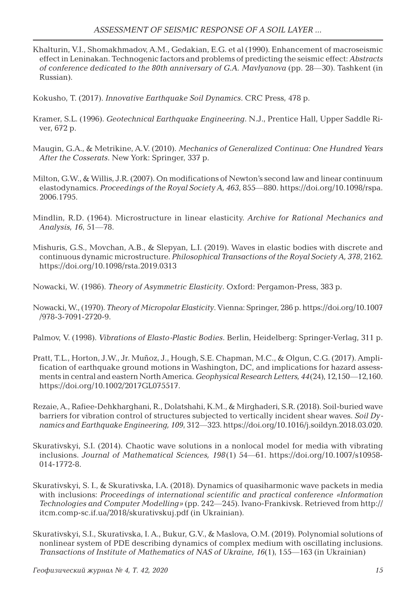- Khalturin, V.I., Shomakhmadov, A.M., Gedakian, E.G. et al (1990). Enhancement of macroseismic effect in Leninakan. Technogenic factors and problems of predicting the seismic effect: *Abstracts of conference dedicated to the 80th anniversary of G.A. Mavlyanova* (pp. 28—30). Tashkent (in Russian).
- Kokusho, T. (2017). *Innovative Earthquake Soil Dynamics*. CRC Press, 478 p.
- Kramer, S.L. (1996). *Geotechnical Earthquake Engineering*. N.J., Prentice Hall, Upper Saddle River, 672 p.
- Maugin, G.A., & Metrikine, A.V. (2010). *Mechanics of Generalized Continua: One Hundred Years After the Cosserats*. New York: Springer, 337 p.
- Milton, G.W., & Willis, J.R. (2007). On modifications of Newton's second law and linear continuum elastodynamics. *Proceedings of the Royal Society A, 463*, 855—880. https://doi.org/10.1098/rspa. 2006.1795.
- Mindlin, R.D. (1964). Microstructure in linear elasticity. *Archive for Rational Mechanics and Analysis, 16*, 51—78.
- Mishuris, G.S., Movchan, A.B., & Slepyan, L.I. (2019). Waves in elastic bodies with discrete and continuous dynamic microstructure. *Philosophical Transactions of the Royal Society A, 378*, 2162. https://doi.org/10.1098/rsta.2019.0313
- Nowacki, W. (1986). *Theory of Asymmetric Elasticity*. Oxford: Pergamon-Press, 383 p.
- Nowacki, W.,(1970). *Theory of Micropolar Elasticity*. Vienna: Springer, 286 p. https://doi.org/10.1007 /978-3-7091-2720-9.
- Palmov, V. (1998). *Vibrations of Elasto-Plastic Bodies*. Berlin, Heidelberg: Springer-Verlag, 311 р.
- Pratt, T.L., Horton, J.W., Jr. Muñoz, J., Hough, S.E. Chapman, M.C., & Olgun, C.G. (2017). Amplification of earthquake ground motions in Washington, DC, and implications for hazard assessments in central and eastern North America. *Geophysical Research Letters, 44*(24), 12,150—12,160. https://doi.org/10.1002/2017GL075517.
- Rezaie, A., Rafiee-Dehkharghani, R., Dolatshahi, K.M., & Mirghaderi, S.R. (2018). Soil-buried wave barriers for vibration control of structures subjected to vertically incident shear waves. *Soil Dynamics and Earthquake Engineering, 109*, 312—323. https://doi.org/10.1016/j.soildyn.2018.03.020.
- Skurativskyi, S.I. (2014). Chaotic wave solutions in a nonlocal model for media with vibrating inclusions. *Journal of Mathematical Sciences, 198*(1) 54—61. https://doi.org/10.1007/s10958- 014-1772-8.
- Skurativskyi, S. I., & Skurativska, I.A. (2018). Dynamics of quasiharmonic wave packets in media with inclusions: *Proceedings of international scientific and practical conference «Information Technologies and Computer Modelling»* (pp. 242—245). Ivano-Frankivsk. Retrieved from http:// itcm.comp-sc.if.ua/2018/skurativskuj.pdf (in Ukrainian).
- Skurativskyi, S.I., Skurativska, I. A., Bukur, G.V., & Maslova, O.M. (2019). Polynomial solutions of nonlinear system of PDE describing dynamics of complex medium with oscillating inclusions. *Transactions of Institute of Mathematics of NAS of Ukraine, 16*(1), 155—163 (in Ukrainian)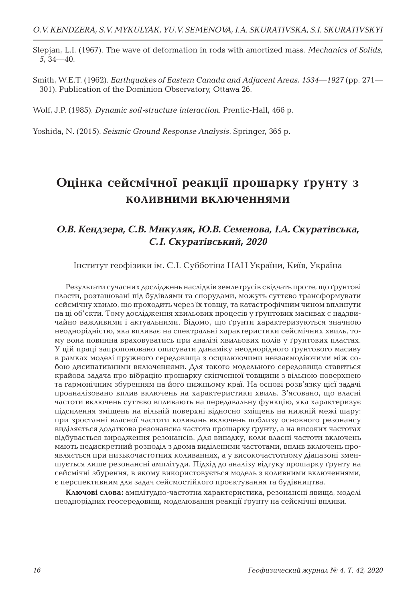Slepjan, L.I. (1967). The wave of deformation in rods with amortized mass. *Mechanics of Solids, 5*, 34—40.

Smith, W.E.T. (1962). *Earthquakes of Eastern Canada and Adjacent Areas, 1534—1927* (pp. 271— 301). Publication of the Dominion Observatory, Ottawa 26.

Wolf, J.P. (1985). *Dynamic soil-structure interaction*. Prentic-Hall, 466 p.

Yoshida, N. (2015). *Seismic Ground Response Analysis*. Springer, 365 p.

## **Оцінка сейсмічної реакції прошарку ґрунту з коливними включеннями**

#### *О.В. Кендзера, С.В. Микуляк, Ю.В. Семенова, І.А. Скуратівська, С.І. Скуратівський, 2020*

Інститут геофізики ім. С.І. Субботіна НАН України, Київ, Україна

Результати сучасних досліджень наслідків землетрусів свідчать про те, що ґрунтові пласти, розташовані під будівлями та спорудами, можуть суттєво трансформувати сейсмічну хвилю, що проходить через їх товщу, та катастрофічним чином вплинути на ці об'єкти. Тому дослідження хвильових процесів у ґрунтових масивах є надзвичайно важливими і актуальними. Відомо, що ґрунти характеризуються значною неоднорідністю, яка впливає на спектральні характеристики сейсмічних хвиль, тому вона повинна враховуватись при аналізі хвильових полів у ґрунтових пластах. У цій праці запропоновано описувати динаміку неоднорідного ґрунтового масиву в рамках моделі пружного середовища з осцилюючими невзаємодіючими між собою дисипативними включеннями. Для такого модельного середовища ставиться крайова задача про вібрацію прошарку скінченної товщини з вільною поверхнею та гармонічним збуренням на його нижньому краї. На основі розв'язку цієї задачі проаналізовано вплив включень на характеристики хвиль. З'ясовано, що власні частоти включень суттєво впливають на передавальну функцію, яка характеризує підсилення зміщень на вільній поверхні відносно зміщень на нижній межі шару: при зростанні власної частоти коливань включень поблизу основного резонансу виділяється додаткова резонансна частота прошарку ґрунту, а на високих частотах відбувається виродження резонансів. Для випадку, коли власні частоти включень мають недискретний розподіл з двома виділеними частотами, вплив включень проявляється при низькочастотних коливаннях, а у високочастотному діапазоні зменшується лише резонансні амплітуди. Підхід до аналізу відгуку прошарку ґрунту на сейсмічні збурення, в якому використовується модель з коливними включеннями, є перспективним для задач сейсмостійкого проєктування та будівництва.

**Ключові слова:** амплітудно-частотна характеристика, резонансні явища, моделі неоднорідних геосередовищ, моделювання реакції ґрунту на сейсмічні впливи.